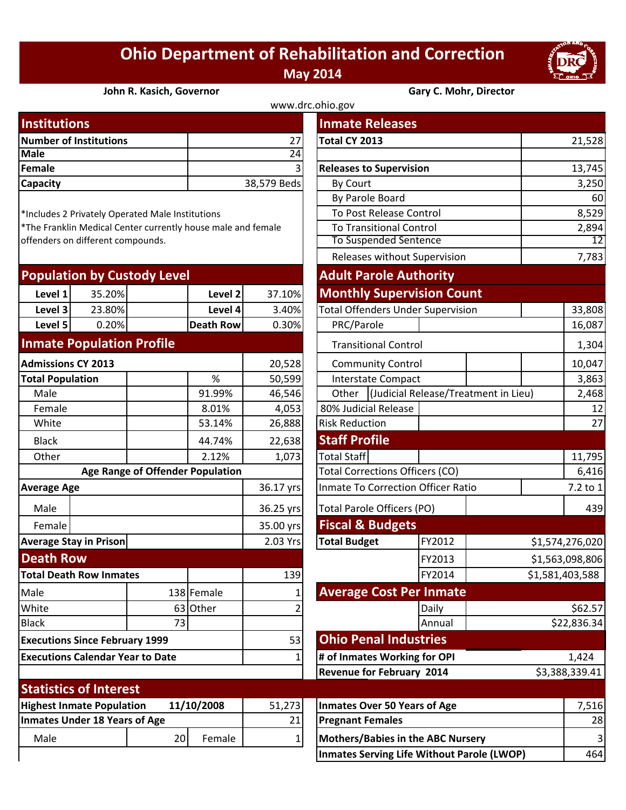## **Ohio Department of Rehabilitation and Correction May 2014**



**John R. Kasich, Governor Gary C. Mohr, Director**

| www.drc.ohio.gov       |                 |                                |        |  |  |  |
|------------------------|-----------------|--------------------------------|--------|--|--|--|
| <b>Institutions</b>    |                 | <b>Inmate Releases</b>         |        |  |  |  |
| Number of Institutions | 27              | Total CY 2013                  | 21,528 |  |  |  |
| <b>Male</b>            | 24 <sup>1</sup> |                                |        |  |  |  |
| Female                 | 31              | <b>Releases to Supervision</b> | 13,745 |  |  |  |
| Capacity               | 38,579 Beds     | <b>By Court</b>                | 3,250  |  |  |  |
|                        |                 | <b>By Darolo Board</b>         | 60     |  |  |  |

\*Includes 2 Privately Operated Male Institutions

\*The Franklin Medical Center currently house male and female offenders on different compounds.

|                                         |                                       |    |                    |                                           |                                  | Releases Without Supervision             |                                      | دہ ہ ،          |
|-----------------------------------------|---------------------------------------|----|--------------------|-------------------------------------------|----------------------------------|------------------------------------------|--------------------------------------|-----------------|
| <b>Population by Custody Level</b>      |                                       |    |                    |                                           | <b>Adult Parole Authority</b>    |                                          |                                      |                 |
| Level 1                                 | 35.20%                                |    | Level <sub>2</sub> | 37.10%                                    | <b>Monthly Supervision Count</b> |                                          |                                      |                 |
| Level 3                                 | 23.80%                                |    | Level 4            | 3.40%                                     |                                  | <b>Total Offenders Under Supervision</b> |                                      | 33,808          |
| Level 5                                 | 0.20%                                 |    | <b>Death Row</b>   | 0.30%                                     | PRC/Parole                       |                                          |                                      | 16,087          |
| <b>Inmate Population Profile</b>        |                                       |    |                    | <b>Transitional Control</b>               |                                  |                                          | 1,304                                |                 |
| <b>Admissions CY 2013</b>               |                                       |    | 20,528             | <b>Community Control</b>                  |                                  |                                          | 10,047                               |                 |
| %<br><b>Total Population</b>            |                                       |    | 50,599             |                                           | <b>Interstate Compact</b>        |                                          | 3,863                                |                 |
| Male                                    |                                       |    | 91.99%             | 46,546                                    | Other                            |                                          | (Judicial Release/Treatment in Lieu) |                 |
| Female                                  |                                       |    | 8.01%              | 4,053                                     | 80% Judicial Release             |                                          |                                      | 12              |
| White                                   |                                       |    | 53.14%             | 26,888                                    | <b>Risk Reduction</b>            |                                          |                                      | 27              |
| <b>Black</b>                            |                                       |    | 44.74%             | 22,638                                    | <b>Staff Profile</b>             |                                          |                                      |                 |
| Other                                   |                                       |    | 2.12%              | 1,073                                     | <b>Total Staff</b>               |                                          |                                      | 11,795          |
| Age Range of Offender Population        |                                       |    |                    | <b>Total Corrections Officers (CO)</b>    |                                  |                                          | 6,416                                |                 |
| <b>Average Age</b>                      |                                       |    | 36.17 yrs          | <b>Inmate To Correction Officer Ratio</b> |                                  | 7.2 to 1                                 |                                      |                 |
| Male                                    |                                       |    |                    | 36.25 yrs                                 | Total Parole Officers (PO)       |                                          |                                      | 439             |
| Female                                  |                                       |    |                    | 35.00 yrs                                 | <b>Fiscal &amp; Budgets</b>      |                                          |                                      |                 |
|                                         | <b>Average Stay in Prison</b>         |    |                    | 2.03 Yrs                                  | <b>Total Budget</b>              | FY2012                                   |                                      | \$1,574,276,020 |
| <b>Death Row</b>                        |                                       |    |                    |                                           |                                  | FY2013                                   |                                      | \$1,563,098,806 |
|                                         | <b>Total Death Row Inmates</b>        |    |                    | 139                                       |                                  | FY2014                                   |                                      | \$1,581,403,588 |
| Male                                    |                                       |    | 138 Female         |                                           | <b>Average Cost Per Inmate</b>   |                                          |                                      |                 |
| White                                   |                                       |    | 63 Other           |                                           |                                  | Daily                                    |                                      | \$62.57         |
| <b>Black</b>                            |                                       | 73 |                    |                                           |                                  | Annual                                   |                                      | \$22,836.34     |
|                                         | <b>Executions Since February 1999</b> |    |                    | 53                                        | <b>Ohio Penal Industries</b>     |                                          |                                      |                 |
| <b>Executions Calendar Year to Date</b> |                                       |    |                    | # of Inmates Working for OPI              |                                  |                                          | 1,424                                |                 |
|                                         |                                       |    |                    | <b>Revenue for February 2014</b>          |                                  |                                          | \$3,388,339.41                       |                 |
|                                         | <b>Statistics of Interest</b>         |    |                    |                                           |                                  |                                          |                                      |                 |
|                                         | <b>Highest Inmate Population</b>      |    | 11/10/2008         | 51,273                                    | Inmates Over 50 Years of Age     |                                          |                                      | 7,516           |

| stitutions                                                |    |                  |                 | <b>Inmate Releases</b>                   |                                            |       |                |                 |  |
|-----------------------------------------------------------|----|------------------|-----------------|------------------------------------------|--------------------------------------------|-------|----------------|-----------------|--|
| mber of Institutions                                      |    |                  | 27              | Total CY 2013                            |                                            |       |                | 21,528          |  |
| le                                                        |    |                  | $\overline{24}$ |                                          |                                            |       |                |                 |  |
| nale                                                      |    |                  |                 |                                          | <b>Releases to Supervision</b>             |       |                | 13,745          |  |
| <b>pacity</b>                                             |    |                  | 38,579 Beds     | By Court                                 |                                            |       |                | 3,250           |  |
|                                                           |    |                  |                 | By Parole Board                          |                                            |       | 60             |                 |  |
| cludes 2 Privately Operated Male Institutions             |    |                  |                 | To Post Release Control                  |                                            |       |                | 8,529           |  |
| e Franklin Medical Center currently house male and female |    |                  |                 |                                          | <b>To Transitional Control</b>             |       |                | 2,894           |  |
| enders on different compounds.                            |    |                  |                 | <b>To Suspended Sentence</b>             |                                            | 12    |                |                 |  |
|                                                           |    |                  |                 |                                          | Releases without Supervision               |       |                | 7,783           |  |
| pulation by Custody Level                                 |    |                  |                 | <b>Adult Parole Authority</b>            |                                            |       |                |                 |  |
| 35.20%<br>Level 1                                         |    | Level 2          | 37.10%          | <b>Monthly Supervision Count</b>         |                                            |       |                |                 |  |
| Level 3<br>23.80%                                         |    | Level 4          | 3.40%           | <b>Total Offenders Under Supervision</b> |                                            |       |                | 33,808          |  |
| Level 5<br>0.20%                                          |    | <b>Death Row</b> | 0.30%           | PRC/Parole                               |                                            |       |                | 16,087          |  |
| mate Population Profile                                   |    |                  |                 | <b>Transitional Control</b>              |                                            |       |                | 1,304           |  |
| missions CY 2013                                          |    |                  | 20,528          | <b>Community Control</b>                 |                                            |       |                | 10,047          |  |
| al Population                                             |    | $\%$             | 50,599          | <b>Interstate Compact</b>                |                                            |       |                | 3,863           |  |
| Male                                                      |    | 91.99%           | 46,546          |                                          | Other (Judicial Release/Treatment in Lieu) |       |                | 2,468           |  |
| Female                                                    |    | 8.01%            | 4,053           | 80% Judicial Release                     |                                            |       |                | 12              |  |
| White                                                     |    | 53.14%           | 26,888          | <b>Risk Reduction</b>                    |                                            |       |                | 27              |  |
| Black                                                     |    | 44.74%           | 22,638          | <b>Staff Profile</b>                     |                                            |       |                |                 |  |
| Other                                                     |    | 2.12%            | 1,073           | <b>Total Staff</b>                       |                                            |       |                | 11,795          |  |
| Age Range of Offender Population                          |    |                  |                 | <b>Total Corrections Officers (CO)</b>   |                                            |       |                | 6,416           |  |
| erage Age                                                 |    |                  | 36.17 yrs       | Inmate To Correction Officer Ratio       |                                            |       |                | 7.2 to $1$      |  |
| Male                                                      |    |                  | 36.25 yrs       | <b>Total Parole Officers (PO)</b>        |                                            |       |                | 439             |  |
| Female                                                    |    |                  |                 | <b>Fiscal &amp; Budgets</b>              |                                            |       |                |                 |  |
| <b>Prage Stay in Prison</b>                               |    |                  | 2.03 Yrs        | <b>Total Budget</b>                      | FY2012                                     |       |                | \$1,574,276,020 |  |
| ath Row:                                                  |    |                  |                 |                                          | FY2013                                     |       |                | \$1,563,098,806 |  |
| al Death Row Inmates:                                     |    |                  | 139             |                                          | FY2014                                     |       |                | \$1,581,403,588 |  |
| le                                                        |    | 138 Female       | 1               | <b>Average Cost Per Inmate</b>           |                                            |       |                |                 |  |
| ite                                                       |    | 63 Other         | $\overline{2}$  |                                          | Daily                                      |       |                | \$62.57         |  |
| ck                                                        | 73 |                  |                 |                                          | Annual                                     |       |                | \$22,836.34     |  |
| cutions Since February 1999                               |    |                  | 53              | <b>Ohio Penal Industries</b>             |                                            |       |                |                 |  |
| cutions Calendar Year to Date                             |    |                  | 1               | # of Inmates Working for OPI             |                                            | 1,424 |                |                 |  |
|                                                           |    |                  |                 | <b>Revenue for February 2014</b>         |                                            |       | \$3,388,339.41 |                 |  |
| atistics of Interest                                      |    |                  |                 |                                          |                                            |       |                |                 |  |

| <b>Highest Inmate Population</b>     | 11/10/2008 |        | 51,273 | Inmates Over 50 Years of Age               | .5161 |
|--------------------------------------|------------|--------|--------|--------------------------------------------|-------|
| <b>Inmates Under 18 Years of Age</b> |            |        | 21     | <b>Pregnant Females</b>                    | 28    |
| Male                                 | 20         | Female |        | Mothers/Babies in the ABC Nursery          |       |
|                                      |            |        |        | Inmates Serving Life Without Parole (LWOP) | 464   |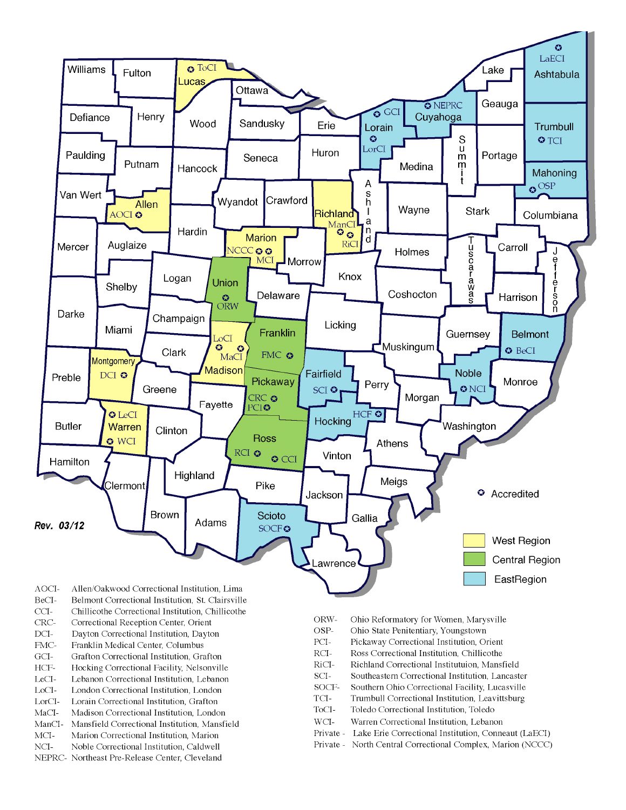

- BeCI-Belmont Correctional Institution, St. Clairsville
- $CCI-$ Chillicothe Correctional Institution, Chillicothe
- Correctional Reception Center, Orient CRC-
- $DCI-$ Dayton Correctional Institution, Dayton
- FMC-Franklin Medical Center, Columbus
- $\rm{GCI}\mbox{-}$ Grafton Correctional Institution, Grafton
- HCF-Hocking Correctional Facility, Nelsonville
- LeCI-Lebanon Correctional Institution, Lebanon
- LoCI-London Correctional Institution. London
- $\operatorname{LorCl-}$ Lorain Correctional Institution, Grafton
- $MaCI-$ Madison Correctional Institution, London
- ManCI-Mansfield Correctional Institution, Mansfield MCI-Marion Correctional Institution, Marion
- Noble Correctional Institution, Caldwell
- NCI-NEPRC- Northeast Pre-Release Center, Cleveland
- ORW-Ohio Reformatory for Women, Marysville
- OSP-Ohio State Penitentiary, Youngstown
- PCI-Pickaway Correctional Institution, Orient
- $\rm RCI-$ Ross Correctional Institution, Chillicothe
- RiCI-Richland Correctional Institutuion, Mansfield
- SCI-Southeastern Correctional Institution, Lancaster
- SOCF-Southern Ohio Correctional Facility, Lucasville
- TCI-Trumbull Correctional Institution, Leavittsburg
- ToCI-Toledo Correctional Institution, Toledo
- $WCI-$ Warren Correctional Institution, Lebanon
- Private Lake Erie Correctional Institution, Conneaut (LaECI)
- Private North Central Correctional Complex, Marion (NCCC)